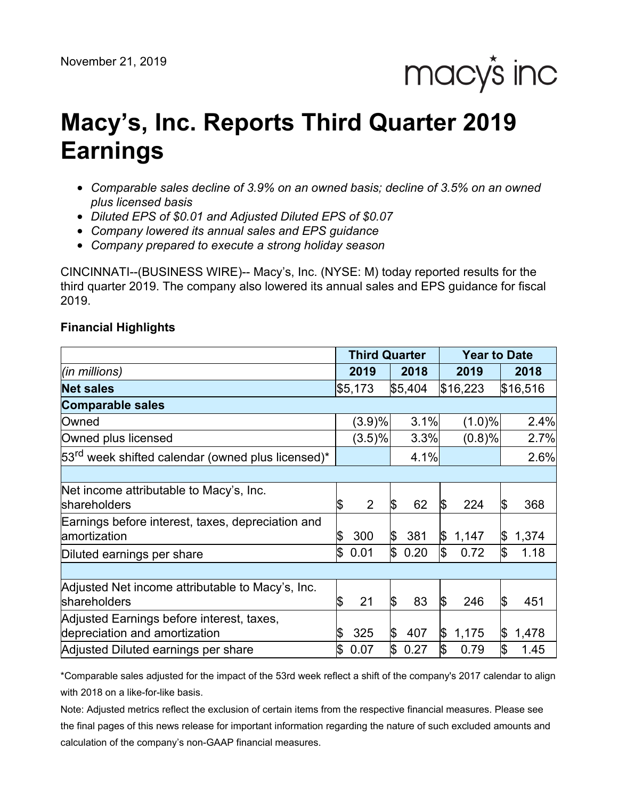macy's inc

# **Macy's, Inc. Reports Third Quarter 2019 Earnings**

- *Comparable sales decline of 3.9% on an owned basis; decline of 3.5% on an owned plus licensed basis*
- *Diluted EPS of \$0.01 and Adjusted Diluted EPS of \$0.07*
- *Company lowered its annual sales and EPS guidance*
- *Company prepared to execute a strong holiday season*

CINCINNATI--(BUSINESS WIRE)-- Macy's, Inc. (NYSE: M) today reported results for the third quarter 2019. The company also lowered its annual sales and EPS guidance for fiscal 2019.

#### **Financial Highlights**

|                                                                            | <b>Third Quarter</b> |           | <b>Year to Date</b> |                     |          |                           |          |
|----------------------------------------------------------------------------|----------------------|-----------|---------------------|---------------------|----------|---------------------------|----------|
| $(in$ millions)                                                            |                      | 2019      | 2018                |                     | 2019     |                           | 2018     |
| <b>Net sales</b>                                                           |                      | \$5,173   | \$5,404             |                     | \$16,223 |                           | \$16,516 |
| <b>Comparable sales</b>                                                    |                      |           |                     |                     |          |                           |          |
| Owned                                                                      |                      | (3.9)%    | 3.1%                |                     | (1.0)%   |                           | 2.4%     |
| Owned plus licensed                                                        |                      | $(3.5)\%$ | 3.3%                |                     | (0.8)%   |                           | 2.7%     |
| 53rd week shifted calendar (owned plus licensed)*                          |                      |           | 4.1%                |                     |          |                           | 2.6%     |
|                                                                            |                      |           |                     |                     |          |                           |          |
| Net income attributable to Macy's, Inc.<br><b>Ishareholders</b>            | \$                   | 2         | \$<br>62            | 15                  | 224      | \$                        | 368      |
| Earnings before interest, taxes, depreciation and<br>amortization          | ß                    | 300       | \$<br>381           | \$                  | 1,147    | \$                        | 1,374    |
| Diluted earnings per share                                                 | \$                   | 0.01      | \$<br>0.20          | $\overline{\theta}$ | 0.72     | $\boldsymbol{\mathsf{S}}$ | 1.18     |
|                                                                            |                      |           |                     |                     |          |                           |          |
| Adjusted Net income attributable to Macy's, Inc.<br>shareholders           | ß                    | 21        | \$<br>83            | I\$                 | 246      | S,                        | 451      |
| Adjusted Earnings before interest, taxes,<br>depreciation and amortization | \$                   | 325       | \$<br>407           | \$                  | 1,175    | $\boldsymbol{\mathsf{S}}$ | 1,478    |
| Adjusted Diluted earnings per share                                        | \$                   | 0.07      | \$<br>0.27          | \$                  | 0.79     | \$                        | 1.45     |

\*Comparable sales adjusted for the impact of the 53rd week reflect a shift of the company's 2017 calendar to align with 2018 on a like-for-like basis.

Note: Adjusted metrics reflect the exclusion of certain items from the respective financial measures. Please see the final pages of this news release for important information regarding the nature of such excluded amounts and calculation of the company's non-GAAP financial measures.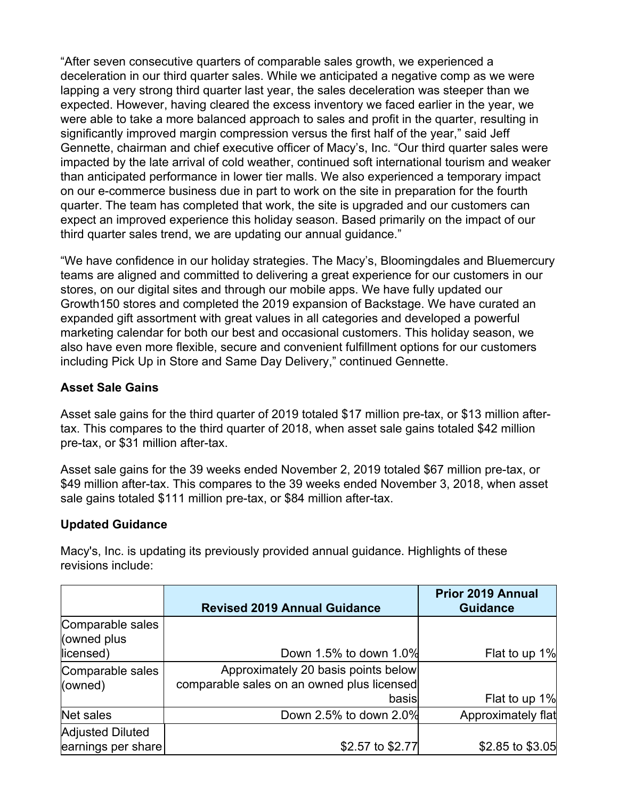"After seven consecutive quarters of comparable sales growth, we experienced a deceleration in our third quarter sales. While we anticipated a negative comp as we were lapping a very strong third quarter last year, the sales deceleration was steeper than we expected. However, having cleared the excess inventory we faced earlier in the year, we were able to take a more balanced approach to sales and profit in the quarter, resulting in significantly improved margin compression versus the first half of the year," said Jeff Gennette, chairman and chief executive officer of Macy's, Inc. "Our third quarter sales were impacted by the late arrival of cold weather, continued soft international tourism and weaker than anticipated performance in lower tier malls. We also experienced a temporary impact on our e-commerce business due in part to work on the site in preparation for the fourth quarter. The team has completed that work, the site is upgraded and our customers can expect an improved experience this holiday season. Based primarily on the impact of our third quarter sales trend, we are updating our annual guidance."

"We have confidence in our holiday strategies. The Macy's, Bloomingdales and Bluemercury teams are aligned and committed to delivering a great experience for our customers in our stores, on our digital sites and through our mobile apps. We have fully updated our Growth150 stores and completed the 2019 expansion of Backstage. We have curated an expanded gift assortment with great values in all categories and developed a powerful marketing calendar for both our best and occasional customers. This holiday season, we also have even more flexible, secure and convenient fulfillment options for our customers including Pick Up in Store and Same Day Delivery," continued Gennette.

## **Asset Sale Gains**

Asset sale gains for the third quarter of 2019 totaled \$17 million pre-tax, or \$13 million aftertax. This compares to the third quarter of 2018, when asset sale gains totaled \$42 million pre-tax, or \$31 million after-tax.

Asset sale gains for the 39 weeks ended November 2, 2019 totaled \$67 million pre-tax, or \$49 million after-tax. This compares to the 39 weeks ended November 3, 2018, when asset sale gains totaled \$111 million pre-tax, or \$84 million after-tax.

#### **Updated Guidance**

Macy's, Inc. is updating its previously provided annual guidance. Highlights of these revisions include:

|                                               | <b>Revised 2019 Annual Guidance</b>                                               | <b>Prior 2019 Annual</b><br><b>Guidance</b> |
|-----------------------------------------------|-----------------------------------------------------------------------------------|---------------------------------------------|
| Comparable sales<br>(owned plus               |                                                                                   |                                             |
| licensed)                                     | Down 1.5% to down 1.0%                                                            | Flat to up 1%                               |
| Comparable sales<br>(owned)                   | Approximately 20 basis points below<br>comparable sales on an owned plus licensed |                                             |
|                                               | basis                                                                             | Flat to up 1%                               |
| Net sales                                     | Down 2.5% to down 2.0%                                                            | Approximately flat                          |
| <b>Adjusted Diluted</b><br>earnings per share | \$2.57 to \$2.77                                                                  | \$2.85 to \$3.05                            |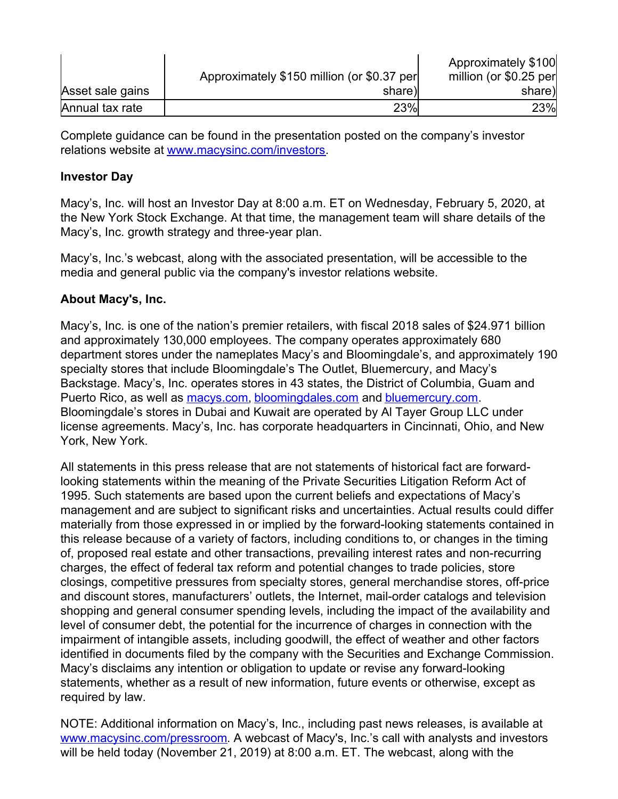|                  | Approximately \$150 million (or \$0.37 per | Approximately \$100<br>million (or \$0.25 per |
|------------------|--------------------------------------------|-----------------------------------------------|
| Asset sale gains | share)                                     | share)                                        |
| Annual tax rate  | 23%                                        | 23%                                           |

Complete guidance can be found in the presentation posted on the company's investor relations website at [www.macysinc.com/investors](http://www.macysinc.com/investors).

## **Investor Day**

Macy's, Inc. will host an Investor Day at 8:00 a.m. ET on Wednesday, February 5, 2020, at the New York Stock Exchange. At that time, the management team will share details of the Macy's, Inc. growth strategy and three-year plan.

Macy's, Inc.'s webcast, along with the associated presentation, will be accessible to the media and general public via the company's investor relations website.

## **About Macy's, Inc.**

Macy's, Inc. is one of the nation's premier retailers, with fiscal 2018 sales of \$24.971 billion and approximately 130,000 employees. The company operates approximately 680 department stores under the nameplates Macy's and Bloomingdale's, and approximately 190 specialty stores that include Bloomingdale's The Outlet, Bluemercury, and Macy's Backstage. Macy's, Inc. operates stores in 43 states, the District of Columbia, Guam and Puerto Rico, as well as [macys.com](http://macys.com), [bloomingdales.com](http://bloomingdales.com) and [bluemercury.com](http://bluemercury.com). Bloomingdale's stores in Dubai and Kuwait are operated by Al Tayer Group LLC under license agreements. Macy's, Inc. has corporate headquarters in Cincinnati, Ohio, and New York, New York.

All statements in this press release that are not statements of historical fact are forwardlooking statements within the meaning of the Private Securities Litigation Reform Act of 1995. Such statements are based upon the current beliefs and expectations of Macy's management and are subject to significant risks and uncertainties. Actual results could differ materially from those expressed in or implied by the forward-looking statements contained in this release because of a variety of factors, including conditions to, or changes in the timing of, proposed real estate and other transactions, prevailing interest rates and non-recurring charges, the effect of federal tax reform and potential changes to trade policies, store closings, competitive pressures from specialty stores, general merchandise stores, off-price and discount stores, manufacturers' outlets, the Internet, mail-order catalogs and television shopping and general consumer spending levels, including the impact of the availability and level of consumer debt, the potential for the incurrence of charges in connection with the impairment of intangible assets, including goodwill, the effect of weather and other factors identified in documents filed by the company with the Securities and Exchange Commission. Macy's disclaims any intention or obligation to update or revise any forward-looking statements, whether as a result of new information, future events or otherwise, except as required by law.

NOTE: Additional information on Macy's, Inc., including past news releases, is available at [www.macysinc.com/pressroom](http://www.macysinc.com/pressroom). A webcast of Macy's, Inc.'s call with analysts and investors will be held today (November 21, 2019) at 8:00 a.m. ET. The webcast, along with the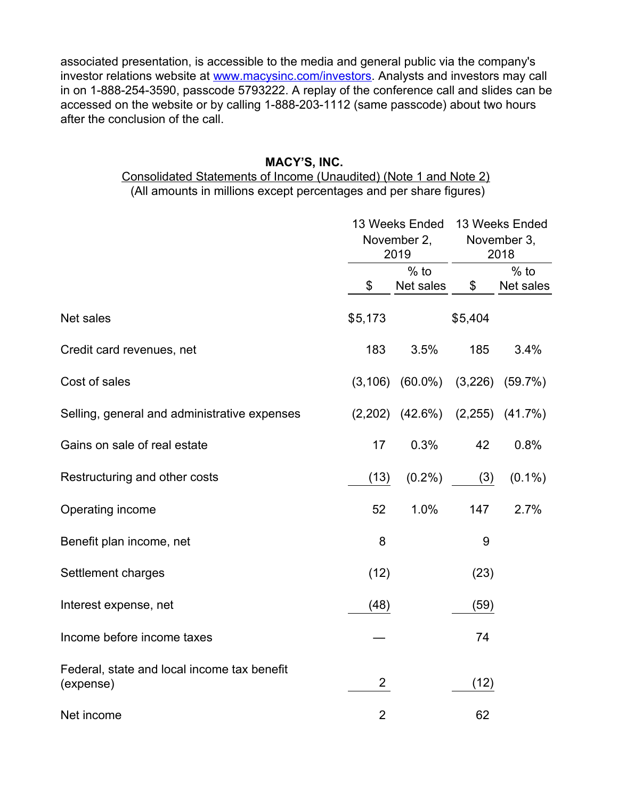associated presentation, is accessible to the media and general public via the company's investor relations website at [www.macysinc.com/investors](http://www.macysinc.com/investors). Analysts and investors may call in on 1-888-254-3590, passcode 5793222. A replay of the conference call and slides can be accessed on the website or by calling 1-888-203-1112 (same passcode) about two hours after the conclusion of the call.

## **MACY'S, INC.**

#### Consolidated Statements of Income (Unaudited) (Note 1 and Note 2) (All amounts in millions except percentages and per share figures)

|                                                          |                | 13 Weeks Ended<br>November 2,<br>2019 | 13 Weeks Ended<br>November 3,<br>2018 |                     |  |
|----------------------------------------------------------|----------------|---------------------------------------|---------------------------------------|---------------------|--|
|                                                          | \$             | $%$ to<br>Net sales                   | \$                                    | $%$ to<br>Net sales |  |
| Net sales                                                | \$5,173        |                                       | \$5,404                               |                     |  |
| Credit card revenues, net                                | 183            | 3.5%                                  | 185                                   | 3.4%                |  |
| Cost of sales                                            | (3, 106)       | $(60.0\%)$                            | (3,226)                               | (59.7%)             |  |
| Selling, general and administrative expenses             | (2,202)        | (42.6%)                               | (2, 255)                              | $(41.7\%)$          |  |
| Gains on sale of real estate                             | 17             | 0.3%                                  | 42                                    | 0.8%                |  |
| Restructuring and other costs                            | (13)           | $(0.2\%)$                             | (3)                                   | $(0.1\%)$           |  |
| Operating income                                         | 52             | 1.0%                                  | 147                                   | 2.7%                |  |
| Benefit plan income, net                                 | 8              |                                       | 9                                     |                     |  |
| Settlement charges                                       | (12)           |                                       | (23)                                  |                     |  |
| Interest expense, net                                    | (48)           |                                       | (59)                                  |                     |  |
| Income before income taxes                               |                |                                       | 74                                    |                     |  |
| Federal, state and local income tax benefit<br>(expense) | $\overline{2}$ |                                       | (12)                                  |                     |  |
| Net income                                               | $\overline{2}$ |                                       | 62                                    |                     |  |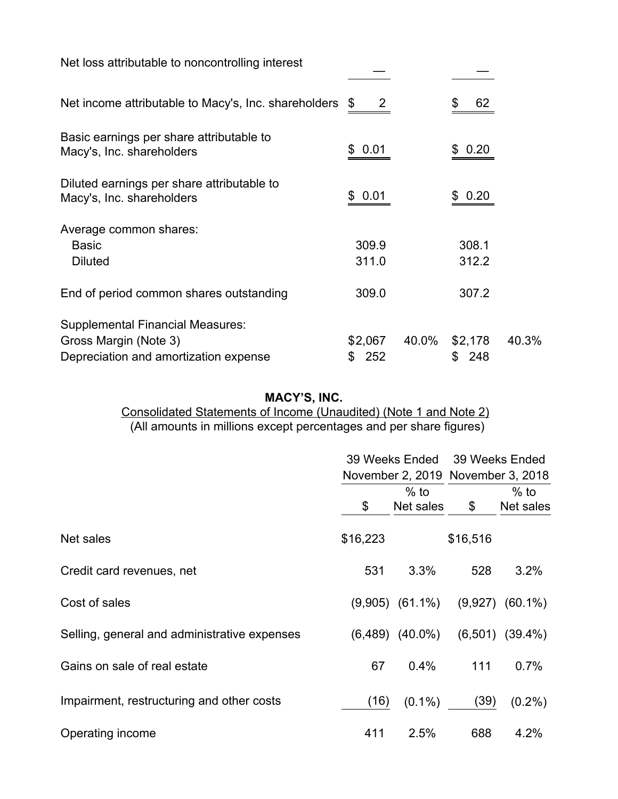| Net loss attributable to noncontrolling interest                        |            |       |           |       |
|-------------------------------------------------------------------------|------------|-------|-----------|-------|
| Net income attributable to Macy's, Inc. shareholders                    | 2<br>\$    |       | 62        |       |
| Basic earnings per share attributable to<br>Macy's, Inc. shareholders   | 0.01<br>\$ |       | 0.20<br>S |       |
| Diluted earnings per share attributable to<br>Macy's, Inc. shareholders | \$0.01     |       | \$0.20    |       |
| Average common shares:                                                  |            |       |           |       |
| <b>Basic</b>                                                            | 309.9      |       | 308.1     |       |
| <b>Diluted</b>                                                          | 311.0      |       | 312.2     |       |
| End of period common shares outstanding                                 | 309.0      |       | 307.2     |       |
| <b>Supplemental Financial Measures:</b>                                 |            |       |           |       |
| Gross Margin (Note 3)                                                   | \$2,067    | 40.0% | \$2,178   | 40.3% |
| Depreciation and amortization expense                                   | 252<br>\$  |       | 248<br>\$ |       |

## **MACY'S, INC.**

Consolidated Statements of Income (Unaudited) (Note 1 and Note 2) (All amounts in millions except percentages and per share figures)

|                                              | 39 Weeks Ended |                      | 39 Weeks Ended                    |                      |  |  |
|----------------------------------------------|----------------|----------------------|-----------------------------------|----------------------|--|--|
|                                              |                |                      | November 2, 2019 November 3, 2018 |                      |  |  |
|                                              | $%$ to         |                      |                                   | $%$ to               |  |  |
|                                              | \$             | Net sales            | \$                                | Net sales            |  |  |
| Net sales                                    | \$16,223       |                      | \$16,516                          |                      |  |  |
| Credit card revenues, net                    | 531            | 3.3%                 | 528                               | 3.2%                 |  |  |
| Cost of sales                                |                | $(9,905)$ $(61.1\%)$ |                                   | $(9,927)$ $(60.1\%)$ |  |  |
| Selling, general and administrative expenses |                | $(6,489)$ $(40.0\%)$ |                                   | $(6,501)$ $(39.4\%)$ |  |  |
| Gains on sale of real estate                 | 67             | 0.4%                 | 111                               | 0.7%                 |  |  |
| Impairment, restructuring and other costs    | (16)           | $(0.1\%)$            | (39)                              | $(0.2\%)$            |  |  |
| Operating income                             | 411            | 2.5%                 | 688                               | 4.2%                 |  |  |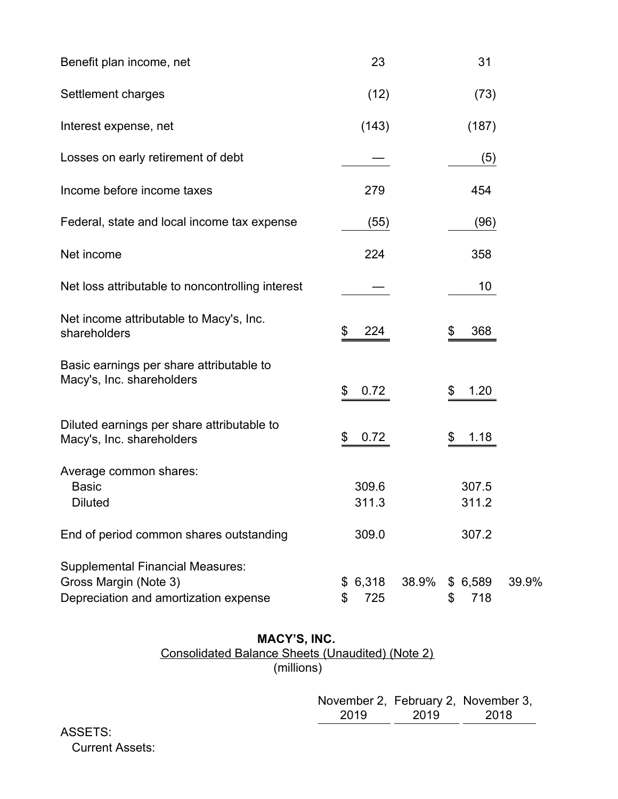| Benefit plan income, net                                                                                  | 23                       | 31                            |       |
|-----------------------------------------------------------------------------------------------------------|--------------------------|-------------------------------|-------|
| Settlement charges                                                                                        | (12)                     | (73)                          |       |
| Interest expense, net                                                                                     | (143)                    | (187)                         |       |
| Losses on early retirement of debt                                                                        |                          | (5)                           |       |
| Income before income taxes                                                                                | 279                      | 454                           |       |
| Federal, state and local income tax expense                                                               | (55)                     | (96)                          |       |
| Net income                                                                                                | 224                      | 358                           |       |
| Net loss attributable to noncontrolling interest                                                          |                          | 10                            |       |
| Net income attributable to Macy's, Inc.<br>shareholders                                                   | \$<br>224                | 368<br>\$                     |       |
| Basic earnings per share attributable to<br>Macy's, Inc. shareholders                                     | 0.72<br>\$               | 1.20<br>\$                    |       |
| Diluted earnings per share attributable to<br>Macy's, Inc. shareholders                                   | \$<br>0.72               | \$<br>1.18                    |       |
| Average common shares:<br><b>Basic</b><br><b>Diluted</b>                                                  | 309.6<br>311.3           | 307.5<br>311.2                |       |
| End of period common shares outstanding                                                                   | 309.0                    | 307.2                         |       |
| <b>Supplemental Financial Measures:</b><br>Gross Margin (Note 3)<br>Depreciation and amortization expense | 6,318<br>\$<br>725<br>\$ | 38.9%<br>\$6,589<br>718<br>\$ | 39.9% |

## **MACY'S, INC.** Consolidated Balance Sheets (Unaudited) (Note 2) (millions)

|                          |                | November 2, February 2, November 3, |
|--------------------------|----------------|-------------------------------------|
|                          | 2019 2019 2018 |                                     |
| $\overline{\phantom{a}}$ |                |                                     |

ASSETS: Current Assets: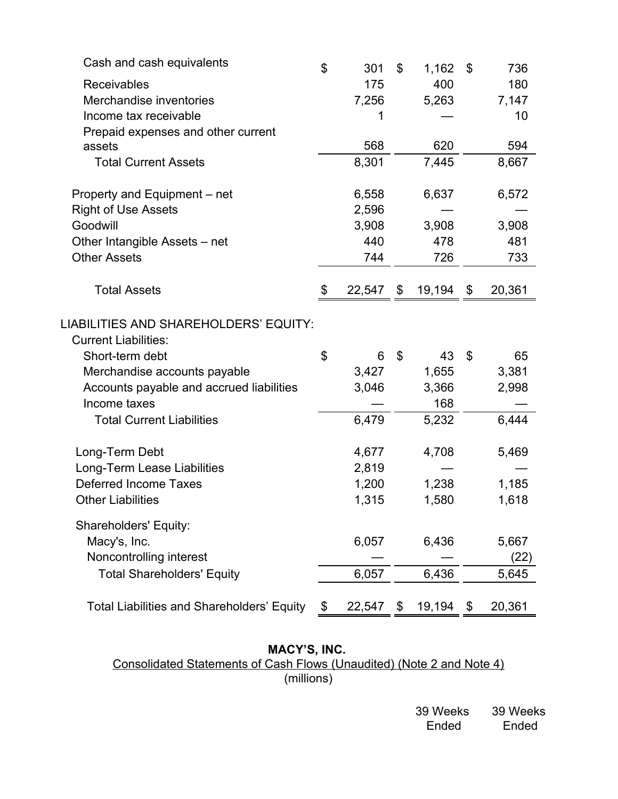| Cash and cash equivalents                | \$<br>301    | \$             | 1,162  | \$<br>736    |
|------------------------------------------|--------------|----------------|--------|--------------|
| <b>Receivables</b>                       | 175          |                | 400    | 180          |
| Merchandise inventories                  | 7,256        |                | 5,263  | 7,147        |
| Income tax receivable                    | 1            |                |        | 10           |
| Prepaid expenses and other current       |              |                |        |              |
| assets                                   | 568          |                | 620    | 594          |
| <b>Total Current Assets</b>              | 8,301        |                | 7,445  | 8,667        |
| Property and Equipment – net             | 6,558        |                | 6,637  | 6,572        |
| <b>Right of Use Assets</b>               | 2,596        |                |        |              |
| Goodwill                                 | 3,908        |                | 3,908  | 3,908        |
| Other Intangible Assets - net            | 440          |                | 478    | 481          |
| <b>Other Assets</b>                      | 744          |                | 726    | 733          |
| <b>Total Assets</b>                      | \$<br>22,547 | $\mathfrak{F}$ | 19,194 | \$<br>20,361 |
| LIABILITIES AND SHAREHOLDERS' EQUITY:    |              |                |        |              |
| <b>Current Liabilities:</b>              |              |                |        |              |
| Short-term debt                          | \$<br>6      | $\mathfrak{L}$ | 43     | \$<br>65     |
| Merchandise accounts payable             | 3,427        |                | 1,655  | 3,381        |
| Accounts payable and accrued liabilities | 3,046        |                | 3,366  | 2,998        |
| Income taxes                             |              |                | 168    |              |
| <b>Total Current Liabilities</b>         | 6,479        |                | 5,232  | 6,444        |
| Long-Term Debt                           | 4,677        |                | 4,708  | 5,469        |
| Long-Term Lease Liabilities              | 2,819        |                |        |              |
| Deferred Income Taxes                    | 1,200        |                | 1,238  | 1,185        |
| <b>Other Liabilities</b>                 | 1,315        |                | 1,580  | 1,618        |
| Shareholders' Equity:                    |              |                |        |              |
| Macy's, Inc.                             | 6,057        |                | 6,436  | 5,667        |
| Noncontrolling interest                  |              |                |        | (22)         |
| <b>Total Shareholders' Equity</b>        | 6,057        |                | 6,436  | 5,645        |
|                                          |              |                |        |              |

# **MACY'S, INC.** Consolidated Statements of Cash Flows (Unaudited) (Note 2 and Note 4) (millions)

39 Weeks Ended 39 Weeks Ended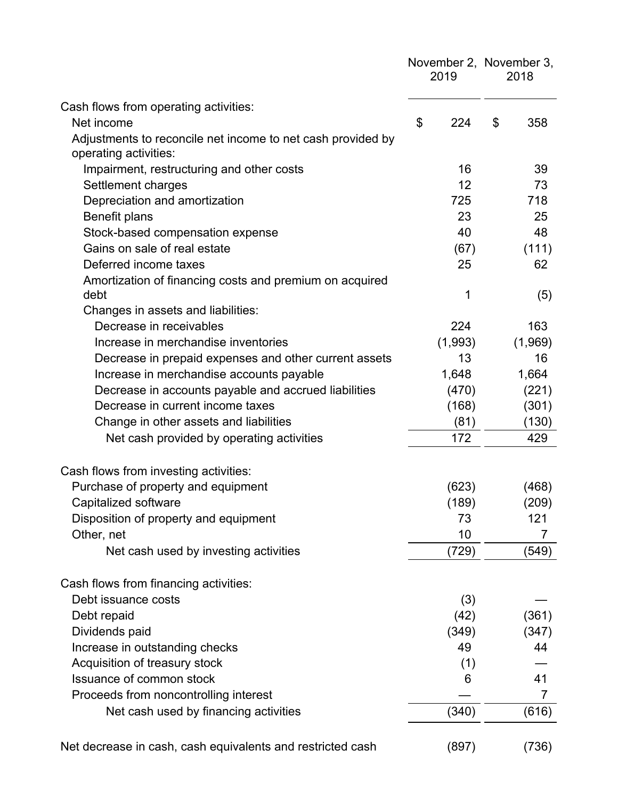|                                                                    | November 2, November 3,<br>2019 |         |                           | 2018    |  |
|--------------------------------------------------------------------|---------------------------------|---------|---------------------------|---------|--|
| Cash flows from operating activities:                              |                                 |         |                           |         |  |
| Net income                                                         | \$                              | 224     | $\boldsymbol{\mathsf{S}}$ | 358     |  |
| Adjustments to reconcile net income to net cash provided by        |                                 |         |                           |         |  |
| operating activities:<br>Impairment, restructuring and other costs |                                 | 16      |                           | 39      |  |
| Settlement charges                                                 |                                 | 12      |                           | 73      |  |
| Depreciation and amortization                                      |                                 | 725     |                           | 718     |  |
| Benefit plans                                                      |                                 | 23      |                           | 25      |  |
| Stock-based compensation expense                                   |                                 | 40      |                           | 48      |  |
| Gains on sale of real estate                                       |                                 | (67)    |                           | (111)   |  |
| Deferred income taxes                                              |                                 | 25      |                           | 62      |  |
| Amortization of financing costs and premium on acquired            |                                 |         |                           |         |  |
| debt                                                               |                                 | 1       |                           | (5)     |  |
| Changes in assets and liabilities:                                 |                                 |         |                           |         |  |
| Decrease in receivables                                            |                                 | 224     |                           | 163     |  |
| Increase in merchandise inventories                                |                                 | (1,993) |                           | (1,969) |  |
| Decrease in prepaid expenses and other current assets              |                                 | 13      |                           | 16      |  |
| Increase in merchandise accounts payable                           |                                 | 1,648   |                           | 1,664   |  |
| Decrease in accounts payable and accrued liabilities               |                                 | (470)   |                           | (221)   |  |
| Decrease in current income taxes                                   |                                 | (168)   |                           | (301)   |  |
| Change in other assets and liabilities                             |                                 | (81)    |                           | (130)   |  |
| Net cash provided by operating activities                          |                                 | 172     |                           | 429     |  |
| Cash flows from investing activities:                              |                                 |         |                           |         |  |
| Purchase of property and equipment                                 |                                 | (623)   |                           | (468)   |  |
| Capitalized software                                               |                                 | (189)   |                           | (209)   |  |
| Disposition of property and equipment                              |                                 | 73      |                           | 121     |  |
| Other, net                                                         |                                 | 10      |                           | 7       |  |
| Net cash used by investing activities                              |                                 | (729)   |                           | (549)   |  |
| Cash flows from financing activities:                              |                                 |         |                           |         |  |
| Debt issuance costs                                                |                                 | (3)     |                           |         |  |
| Debt repaid                                                        |                                 | (42)    |                           | (361)   |  |
| Dividends paid                                                     |                                 | (349)   |                           | (347)   |  |
| Increase in outstanding checks                                     |                                 | 49      |                           | 44      |  |
| Acquisition of treasury stock                                      |                                 | (1)     |                           |         |  |
| Issuance of common stock                                           |                                 | 6       |                           | 41      |  |
| Proceeds from noncontrolling interest                              |                                 |         |                           | 7       |  |
| Net cash used by financing activities                              |                                 | (340)   |                           | (616)   |  |
| Net decrease in cash, cash equivalents and restricted cash         |                                 | (897)   |                           | (736)   |  |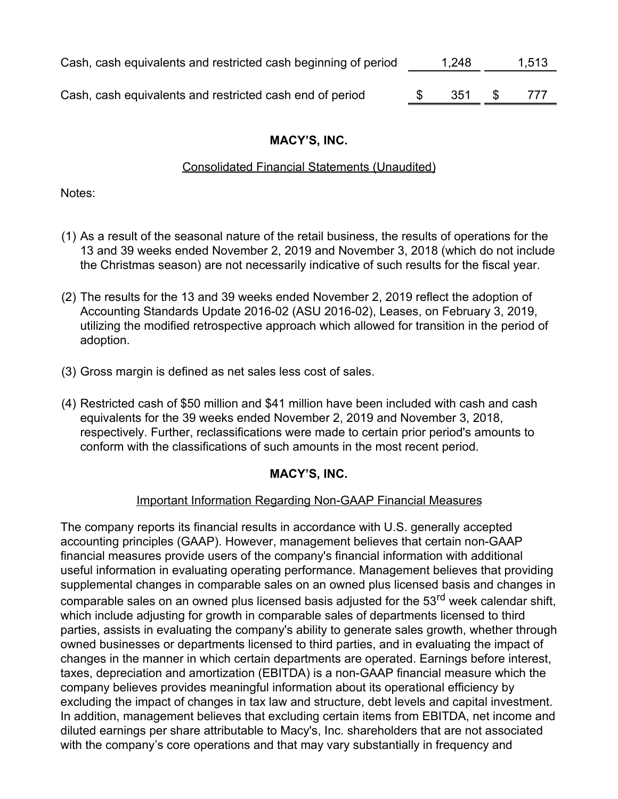| Cash, cash equivalents and restricted cash beginning of period |  | 1.248 |               | 1.513 |
|----------------------------------------------------------------|--|-------|---------------|-------|
| Cash, cash equivalents and restricted cash end of period       |  | 351   | $\mathcal{S}$ | 777   |

## **MACY'S, INC.**

## Consolidated Financial Statements (Unaudited)

Notes:

- (1) As a result of the seasonal nature of the retail business, the results of operations for the 13 and 39 weeks ended November 2, 2019 and November 3, 2018 (which do not include the Christmas season) are not necessarily indicative of such results for the fiscal year.
- (2) The results for the 13 and 39 weeks ended November 2, 2019 reflect the adoption of Accounting Standards Update 2016-02 (ASU 2016-02), Leases, on February 3, 2019, utilizing the modified retrospective approach which allowed for transition in the period of adoption.
- (3) Gross margin is defined as net sales less cost of sales.
- (4) Restricted cash of \$50 million and \$41 million have been included with cash and cash equivalents for the 39 weeks ended November 2, 2019 and November 3, 2018, respectively. Further, reclassifications were made to certain prior period's amounts to conform with the classifications of such amounts in the most recent period.

## **MACY'S, INC.**

## Important Information Regarding Non-GAAP Financial Measures

The company reports its financial results in accordance with U.S. generally accepted accounting principles (GAAP). However, management believes that certain non-GAAP financial measures provide users of the company's financial information with additional useful information in evaluating operating performance. Management believes that providing supplemental changes in comparable sales on an owned plus licensed basis and changes in comparable sales on an owned plus licensed basis adjusted for the 53<sup>rd</sup> week calendar shift, which include adjusting for growth in comparable sales of departments licensed to third parties, assists in evaluating the company's ability to generate sales growth, whether through owned businesses or departments licensed to third parties, and in evaluating the impact of changes in the manner in which certain departments are operated. Earnings before interest, taxes, depreciation and amortization (EBITDA) is a non-GAAP financial measure which the company believes provides meaningful information about its operational efficiency by excluding the impact of changes in tax law and structure, debt levels and capital investment. In addition, management believes that excluding certain items from EBITDA, net income and diluted earnings per share attributable to Macy's, Inc. shareholders that are not associated with the company's core operations and that may vary substantially in frequency and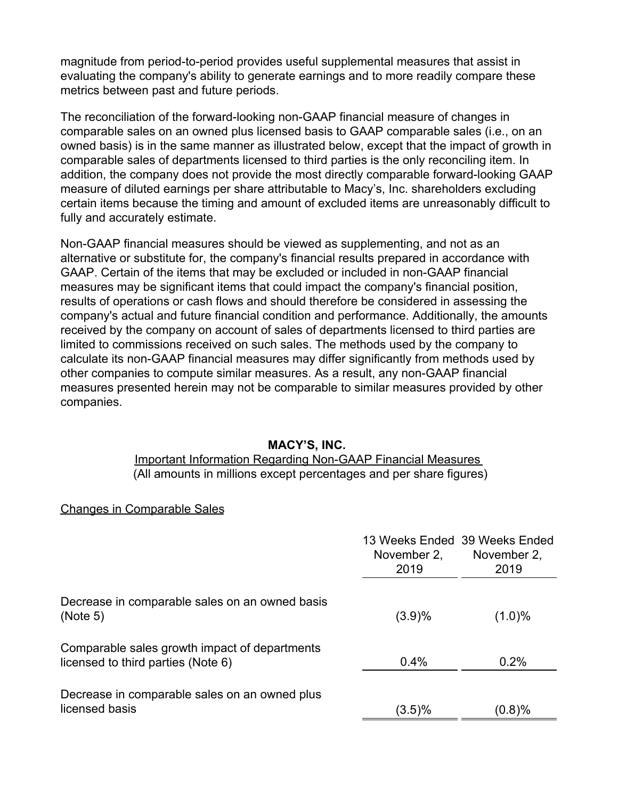magnitude from period-to-period provides useful supplemental measures that assist in evaluating the company's ability to generate earnings and to more readily compare these metrics between past and future periods.

The reconciliation of the forward-looking non-GAAP financial measure of changes in comparable sales on an owned plus licensed basis to GAAP comparable sales (i.e., on an owned basis) is in the same manner as illustrated below, except that the impact of growth in comparable sales of departments licensed to third parties is the only reconciling item. In addition, the company does not provide the most directly comparable forward-looking GAAP measure of diluted earnings per share attributable to Macy's, Inc. shareholders excluding certain items because the timing and amount of excluded items are unreasonably difficult to fully and accurately estimate.

Non-GAAP financial measures should be viewed as supplementing, and not as an alternative or substitute for, the company's financial results prepared in accordance with GAAP. Certain of the items that may be excluded or included in non-GAAP financial measures may be significant items that could impact the company's financial position, results of operations or cash flows and should therefore be considered in assessing the company's actual and future financial condition and performance. Additionally, the amounts received by the company on account of sales of departments licensed to third parties are limited to commissions received on such sales. The methods used by the company to calculate its non-GAAP financial measures may differ significantly from methods used by other companies to compute similar measures. As a result, any non-GAAP financial measures presented herein may not be comparable to similar measures provided by other companies.

## **MACY'S, INC.**

#### Important Information Regarding Non-GAAP Financial Measures (All amounts in millions except percentages and per share figures)

#### Changes in Comparable Sales

|                                                                                     | 13 Weeks Ended 39 Weeks Ended<br>November 2,<br>2019 | November 2,<br>2019 |
|-------------------------------------------------------------------------------------|------------------------------------------------------|---------------------|
| Decrease in comparable sales on an owned basis<br>(Note 5)                          | (3.9)%                                               | (1.0)%              |
| Comparable sales growth impact of departments<br>licensed to third parties (Note 6) | 0.4%                                                 | 0.2%                |
| Decrease in comparable sales on an owned plus<br>licensed basis                     | $(3.5)\%$                                            | (0.8)%              |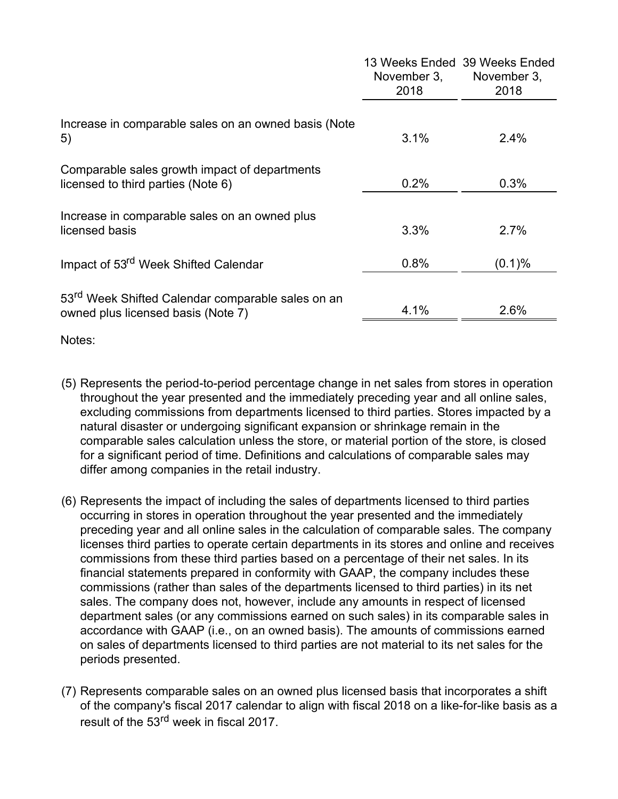|                                                                                                     | November 3,<br>2018 | 13 Weeks Ended 39 Weeks Ended<br>November 3,<br>2018 |  |  |
|-----------------------------------------------------------------------------------------------------|---------------------|------------------------------------------------------|--|--|
| Increase in comparable sales on an owned basis (Note<br>5)                                          | 3.1%                | 2.4%                                                 |  |  |
| Comparable sales growth impact of departments<br>licensed to third parties (Note 6)                 | 0.2%                | 0.3%                                                 |  |  |
| Increase in comparable sales on an owned plus<br>licensed basis                                     | 3.3%                | 2.7%                                                 |  |  |
| Impact of 53 <sup>rd</sup> Week Shifted Calendar                                                    | 0.8%                | (0.1)%                                               |  |  |
| 53 <sup>rd</sup> Week Shifted Calendar comparable sales on an<br>owned plus licensed basis (Note 7) | 4.1%                | 2.6%                                                 |  |  |

Notes:

- (5) Represents the period-to-period percentage change in net sales from stores in operation throughout the year presented and the immediately preceding year and all online sales, excluding commissions from departments licensed to third parties. Stores impacted by a natural disaster or undergoing significant expansion or shrinkage remain in the comparable sales calculation unless the store, or material portion of the store, is closed for a significant period of time. Definitions and calculations of comparable sales may differ among companies in the retail industry.
- (6) Represents the impact of including the sales of departments licensed to third parties occurring in stores in operation throughout the year presented and the immediately preceding year and all online sales in the calculation of comparable sales. The company licenses third parties to operate certain departments in its stores and online and receives commissions from these third parties based on a percentage of their net sales. In its financial statements prepared in conformity with GAAP, the company includes these commissions (rather than sales of the departments licensed to third parties) in its net sales. The company does not, however, include any amounts in respect of licensed department sales (or any commissions earned on such sales) in its comparable sales in accordance with GAAP (i.e., on an owned basis). The amounts of commissions earned on sales of departments licensed to third parties are not material to its net sales for the periods presented.
- (7) Represents comparable sales on an owned plus licensed basis that incorporates a shift of the company's fiscal 2017 calendar to align with fiscal 2018 on a like-for-like basis as a result of the 53<sup>rd</sup> week in fiscal 2017.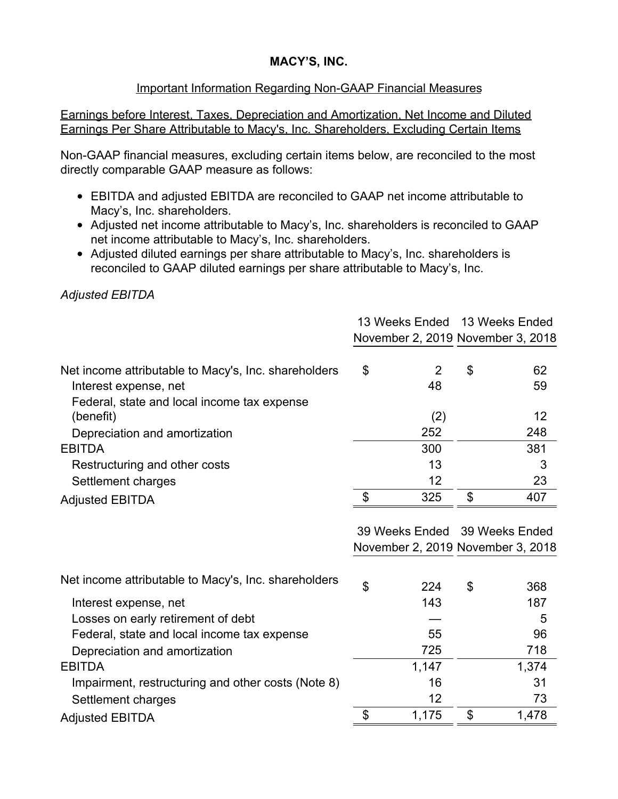## **MACY'S, INC.**

## Important Information Regarding Non-GAAP Financial Measures

Earnings before Interest, Taxes, Depreciation and Amortization, Net Income and Diluted Earnings Per Share Attributable to Macy's, Inc. Shareholders, Excluding Certain Items

Non-GAAP financial measures, excluding certain items below, are reconciled to the most directly comparable GAAP measure as follows:

- EBITDA and adjusted EBITDA are reconciled to GAAP net income attributable to Macy's, Inc. shareholders.
- Adjusted net income attributable to Macy's, Inc. shareholders is reconciled to GAAP net income attributable to Macy's, Inc. shareholders.
- Adjusted diluted earnings per share attributable to Macy's, Inc. shareholders is reconciled to GAAP diluted earnings per share attributable to Macy's, Inc.

## *Adjusted EBITDA*

|                                                          | 13 Weeks Ended 13 Weeks Ended |            |     |                                   |  |
|----------------------------------------------------------|-------------------------------|------------|-----|-----------------------------------|--|
|                                                          |                               |            |     | November 2, 2019 November 3, 2018 |  |
| Net income attributable to Macy's, Inc. shareholders     | \$                            |            | \$  | 62                                |  |
| Interest expense, net                                    |                               | 48         |     | 59                                |  |
| Federal, state and local income tax expense<br>(benefit) |                               |            |     | 12                                |  |
|                                                          |                               | (2)<br>252 |     | 248                               |  |
| Depreciation and amortization                            |                               |            |     |                                   |  |
| <b>EBITDA</b>                                            |                               | 300        |     | 381                               |  |
| Restructuring and other costs                            |                               | 13         |     | 3                                 |  |
| Settlement charges                                       |                               | 12         |     | 23                                |  |
| <b>Adjusted EBITDA</b>                                   | \$.                           | 325        | \$. | 407                               |  |
|                                                          |                               |            |     |                                   |  |

|                                                      |    |       | 39 Weeks Ended 39 Weeks Ended |                                   |
|------------------------------------------------------|----|-------|-------------------------------|-----------------------------------|
|                                                      |    |       |                               | November 2, 2019 November 3, 2018 |
| Net income attributable to Macy's, Inc. shareholders | \$ | 224   | \$                            | 368                               |
| Interest expense, net                                |    | 143   |                               | 187                               |
| Losses on early retirement of debt                   |    |       |                               | 5                                 |
| Federal, state and local income tax expense          |    | 55    |                               | 96                                |
| Depreciation and amortization                        |    | 725   |                               | 718                               |
| <b>EBITDA</b>                                        |    | 1,147 |                               | 1,374                             |
| Impairment, restructuring and other costs (Note 8)   |    | 16    |                               | 31                                |
| Settlement charges                                   |    | 12    |                               | 73                                |
| <b>Adjusted EBITDA</b>                               |    | 1,175 | \$                            | 1,478                             |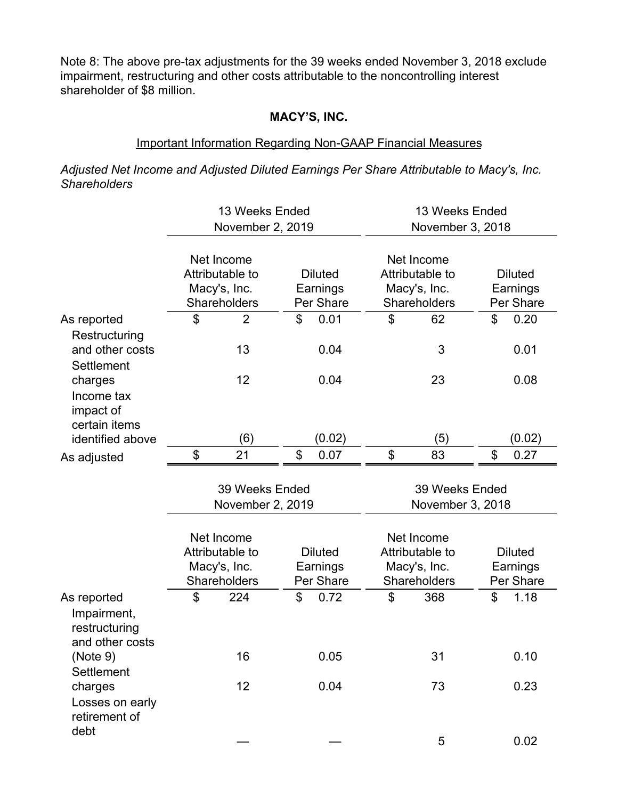Note 8: The above pre-tax adjustments for the 39 weeks ended November 3, 2018 exclude impairment, restructuring and other costs attributable to the noncontrolling interest shareholder of \$8 million.

## **MACY'S, INC.**

## Important Information Regarding Non-GAAP Financial Measures

*Adjusted Net Income and Adjusted Diluted Earnings Per Share Attributable to Macy's, Inc. Shareholders*

|                                                                | 13 Weeks Ended |                                                                      |    |                                         |                                                                                                          | 13 Weeks Ended                                                |    |                                         |  |
|----------------------------------------------------------------|----------------|----------------------------------------------------------------------|----|-----------------------------------------|----------------------------------------------------------------------------------------------------------|---------------------------------------------------------------|----|-----------------------------------------|--|
|                                                                |                | November 2, 2019                                                     |    |                                         | November 3, 2018                                                                                         |                                                               |    |                                         |  |
|                                                                |                | Net Income<br>Attributable to<br>Macy's, Inc.<br><b>Shareholders</b> |    | <b>Diluted</b><br>Earnings<br>Per Share | Net Income<br>Attributable to<br><b>Diluted</b><br>Macy's, Inc.<br>Earnings<br>Shareholders<br>Per Share |                                                               |    |                                         |  |
| As reported                                                    | \$             | $\overline{2}$                                                       | \$ | 0.01                                    | \$                                                                                                       | 62                                                            | \$ | 0.20                                    |  |
| Restructuring<br>and other costs<br>Settlement                 |                | 13                                                                   |    | 0.04                                    |                                                                                                          | 3                                                             |    | 0.01                                    |  |
| charges                                                        |                | 12                                                                   |    | 0.04                                    |                                                                                                          | 23                                                            |    | 0.08                                    |  |
| Income tax<br>impact of<br>certain items                       |                |                                                                      |    |                                         |                                                                                                          |                                                               |    |                                         |  |
| identified above                                               |                | (6)                                                                  |    | (0.02)                                  |                                                                                                          | (5)                                                           |    | (0.02)                                  |  |
| As adjusted                                                    | \$             | 21                                                                   | \$ | 0.07                                    | \$                                                                                                       | 83                                                            | \$ | 0.27                                    |  |
|                                                                |                | 39 Weeks Ended<br>November 2, 2019                                   |    |                                         | 39 Weeks Ended<br>November 3, 2018                                                                       |                                                               |    |                                         |  |
|                                                                |                | Net Income<br>Attributable to<br>Macy's, Inc.<br><b>Shareholders</b> |    | <b>Diluted</b><br>Earnings<br>Per Share |                                                                                                          | Net Income<br>Attributable to<br>Macy's, Inc.<br>Shareholders |    | <b>Diluted</b><br>Earnings<br>Per Share |  |
| As reported<br>Impairment,<br>restructuring<br>and other costs | \$             | 224                                                                  | \$ | 0.72                                    | \$                                                                                                       | 368                                                           | \$ | 1.18                                    |  |
| (Note 9)<br>Settlement                                         |                | 16                                                                   |    | 0.05                                    |                                                                                                          | 31                                                            |    | 0.10                                    |  |
| charges<br>Losses on early<br>retirement of                    |                | 12                                                                   |    | 0.04                                    |                                                                                                          | 73                                                            |    | 0.23                                    |  |
| debt                                                           |                |                                                                      |    |                                         |                                                                                                          | 5                                                             |    | 0.02                                    |  |